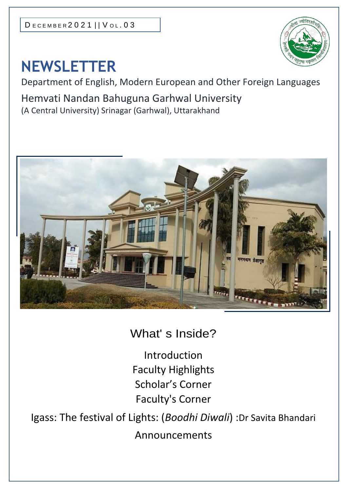

# **NEWSLETTER**

Department of English, Modern European and Other Foreign Languages Hemvati Nandan Bahuguna Garhwal University (A Central University) Srinagar (Garhwal), Uttarakhand



## What' s Inside?

Introduction Faculty Highlights Scholar's Corner Faculty's Corner

Igass: The festival of Lights: (*Boodhi Diwali*) :Dr Savita Bhandari Announcements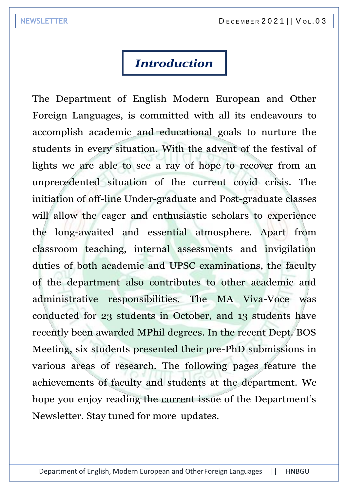## *Introduction*

The Department of English Modern European and Other Foreign Languages, is committed with all its endeavours to accomplish academic and educational goals to nurture the students in every situation. With the advent of the festival of lights we are able to see a ray of hope to recover from an unprecedented situation of the current covid crisis. The initiation of off-line Under-graduate and Post-graduate classes will allow the eager and enthusiastic scholars to experience the long-awaited and essential atmosphere. Apart from classroom teaching, internal assessments and invigilation duties of both academic and UPSC examinations, the faculty of the department also contributes to other academic and administrative responsibilities. The MA Viva-Voce was conducted for 23 students in October, and 13 students have recently been awarded MPhil degrees. In the recent Dept. BOS Meeting, six students presented their pre-PhD submissions in various areas of research. The following pages feature the achievements of faculty and students at the department. We hope you enjoy reading the current issue of the Department's Newsletter. Stay tuned for more updates.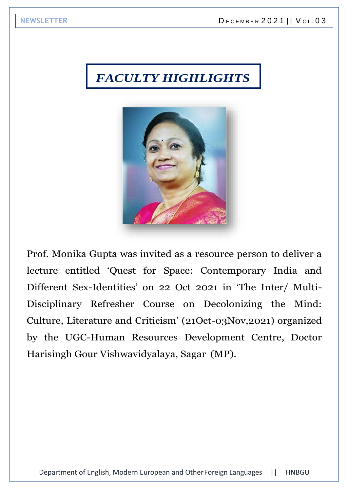

Prof. Monika Gupta was invited as a resource person to deliver a lecture entitled 'Quest for Space: Contemporary India and Different Sex-Identities' on 22 Oct 2021 in 'The Inter/ Multi-Disciplinary Refresher Course on Decolonizing the Mind: Culture, Literature and Criticism' (21Oct-03Nov,2021) organized by the UGC-Human Resources Development Centre, Doctor Harisingh Gour Vishwavidyalaya, Sagar (MP).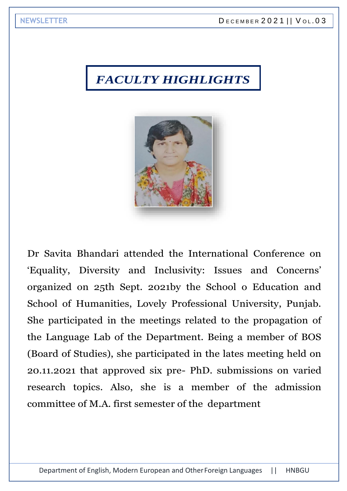

Dr Savita Bhandari attended the International Conference on 'Equality, Diversity and Inclusivity: Issues and Concerns' organized on 25th Sept. 2021by the School o Education and School of Humanities, Lovely Professional University, Punjab. She participated in the meetings related to the propagation of the Language Lab of the Department. Being a member of BOS (Board of Studies), she participated in the lates meeting held on 20.11.2021 that approved six pre- PhD. submissions on varied research topics. Also, she is a member of the admission committee of M.A. first semester of the department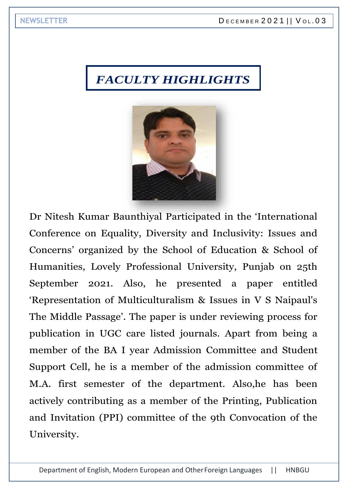

Dr Nitesh Kumar Baunthiyal Participated in the 'International Conference on Equality, Diversity and Inclusivity: Issues and Concerns' organized by the School of Education & School of Humanities, Lovely Professional University, Punjab on 25th September 2021. Also, he presented a paper entitled 'Representation of Multiculturalism & Issues in V S Naipaul's The Middle Passage'. The paper is under reviewing process for publication in UGC care listed journals. Apart from being a member of the BA I year Admission Committee and Student Support Cell, he is a member of the admission committee of M.A. first semester of the department. Also,he has been actively contributing as a member of the Printing, Publication and Invitation (PPI) committee of the 9th Convocation of the University.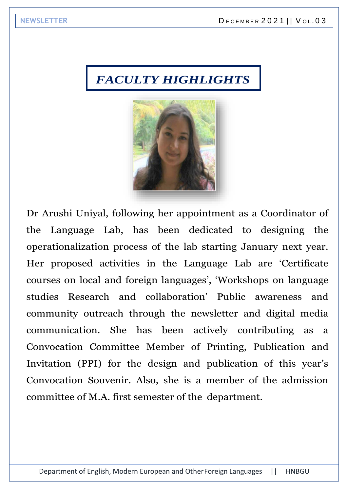NEWSLETTER DECEMBER 2021 || VOL.03

## *FACULTY HIGHLIGHTS*



Dr Arushi Uniyal, following her appointment as a Coordinator of the Language Lab, has been dedicated to designing the operationalization process of the lab starting January next year. Her proposed activities in the Language Lab are 'Certificate courses on local and foreign languages', 'Workshops on language studies Research and collaboration' Public awareness and community outreach through the newsletter and digital media communication. She has been actively contributing as a Convocation Committee Member of Printing, Publication and Invitation (PPI) for the design and publication of this year's Convocation Souvenir. Also, she is a member of the admission committee of M.A. first semester of the department.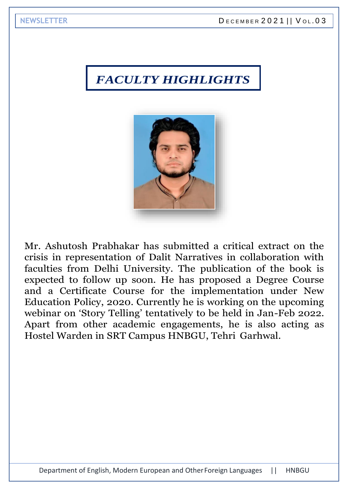

Mr. Ashutosh Prabhakar has submitted a critical extract on the crisis in representation of Dalit Narratives in collaboration with faculties from Delhi University. The publication of the book is expected to follow up soon. He has proposed a Degree Course and a Certificate Course for the implementation under New Education Policy, 2020. Currently he is working on the upcoming webinar on 'Story Telling' tentatively to be held in Jan-Feb 2022. Apart from other academic engagements, he is also acting as Hostel Warden in SRT Campus HNBGU, Tehri Garhwal.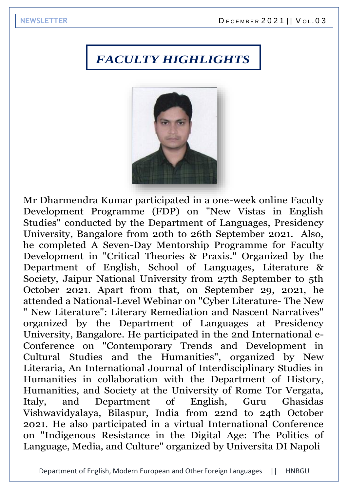

Mr Dharmendra Kumar participated in a one-week online Faculty Development Programme (FDP) on "New Vistas in English Studies" conducted by the Department of Languages, Presidency University, Bangalore from 20th to 26th September 2021. Also, he completed A Seven-Day Mentorship Programme for Faculty Development in "Critical Theories & Praxis." Organized by the Department of English, School of Languages, Literature & Society, Jaipur National University from 27th September to 5th October 2021. Apart from that, on September 29, 2021, he attended a National-Level Webinar on "Cyber Literature- The New " New Literature": Literary Remediation and Nascent Narratives" organized by the Department of Languages at Presidency University, Bangalore. He participated in the 2nd International e-Conference on "Contemporary Trends and Development in Cultural Studies and the Humanities", organized by New Literaria, An International Journal of Interdisciplinary Studies in Humanities in collaboration with the Department of History, Humanities, and Society at the University of Rome Tor Vergata, Italy, and Department of English, Guru Ghasidas Vishwavidyalaya, Bilaspur, India from 22nd to 24th October 2021. He also participated in a virtual International Conference on "Indigenous Resistance in the Digital Age: The Politics of Language, Media, and Culture" organized by Universita DI Napoli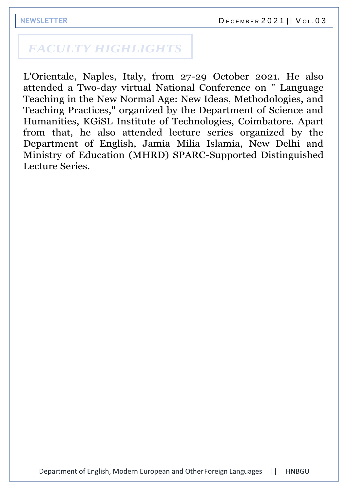L'Orientale, Naples, Italy, from 27-29 October 2021. He also attended a Two-day virtual National Conference on " Language Teaching in the New Normal Age: New Ideas, Methodologies, and Teaching Practices," organized by the Department of Science and Humanities, KGiSL Institute of Technologies, Coimbatore. Apart from that, he also attended lecture series organized by the Department of English, Jamia Milia Islamia, New Delhi and Ministry of Education (MHRD) SPARC-Supported Distinguished Lecture Series.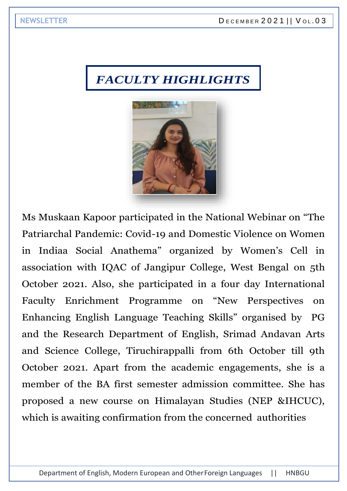

Ms Muskaan Kapoor participated in the National Webinar on "The Patriarchal Pandemic: Covid-19 and Domestic Violence on Women in Indiaa Social Anathema" organized by Women's Cell in association with IQAC of Jangipur College, West Bengal on 5th October 2021. Also, she participated in a four day International Faculty Enrichment Programme on "New Perspectives on Enhancing English Language Teaching Skills" organised by PG and the Research Department of English, Srimad Andavan Arts and Science College, Tiruchirappalli from 6th October till 9th October 2021. Apart from the academic engagements, she is a member of the BA first semester admission committee. She has proposed a new course on Himalayan Studies (NEP &IHCUC), which is awaiting confirmation from the concerned authorities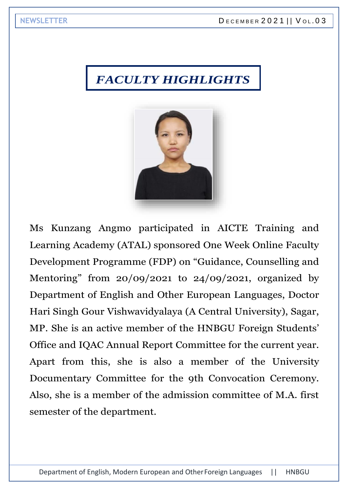

Ms Kunzang Angmo participated in AICTE Training and Learning Academy (ATAL) sponsored One Week Online Faculty Development Programme (FDP) on "Guidance, Counselling and Mentoring" from  $20/09/2021$  to  $24/09/2021$ , organized by Department of English and Other European Languages, Doctor Hari Singh Gour Vishwavidyalaya (A Central University), Sagar, MP. She is an active member of the HNBGU Foreign Students' Office and IQAC Annual Report Committee for the current year. Apart from this, she is also a member of the University Documentary Committee for the 9th Convocation Ceremony. Also, she is a member of the admission committee of M.A. first semester of the department.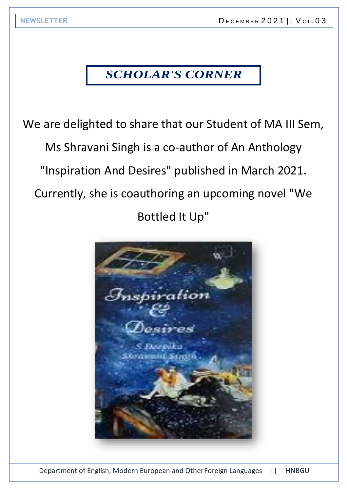We are delighted to share that our Student of MA III Sem, Ms Shravani Singh is a co-author of An Anthology "Inspiration And Desires" published in March 2021. Currently, she is coauthoring an upcoming novel "We Bottled It Up"

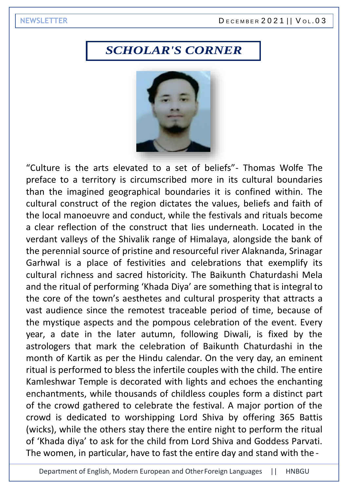

"Culture is the arts elevated to a set of beliefs"- Thomas Wolfe The preface to a territory is circumscribed more in its cultural boundaries than the imagined geographical boundaries it is confined within. The cultural construct of the region dictates the values, beliefs and faith of the local manoeuvre and conduct, while the festivals and rituals become a clear reflection of the construct that lies underneath. Located in the verdant valleys of the Shivalik range of Himalaya, alongside the bank of the perennial source of pristine and resourceful river Alaknanda, Srinagar Garhwal is a place of festivities and celebrations that exemplify its cultural richness and sacred historicity. The Baikunth Chaturdashi Mela and the ritual of performing 'Khada Diya' are something that is integral to the core of the town's aesthetes and cultural prosperity that attracts a vast audience since the remotest traceable period of time, because of the mystique aspects and the pompous celebration of the event. Every year, a date in the later autumn, following Diwali, is fixed by the astrologers that mark the celebration of Baikunth Chaturdashi in the month of Kartik as per the Hindu calendar. On the very day, an eminent ritual is performed to bless the infertile couples with the child. The entire Kamleshwar Temple is decorated with lights and echoes the enchanting enchantments, while thousands of childless couples form a distinct part of the crowd gathered to celebrate the festival. A major portion of the crowd is dedicated to worshipping Lord Shiva by offering 365 Battis (wicks), while the others stay there the entire night to perform the ritual of 'Khada diya' to ask for the child from Lord Shiva and Goddess Parvati. The women, in particular, have to fast the entire day and stand with the -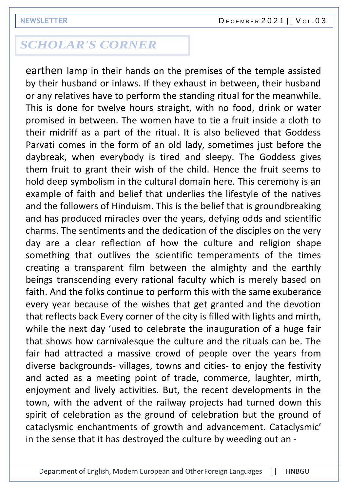earthen lamp in their hands on the premises of the temple assisted by their husband or inlaws. If they exhaust in between, their husband or any relatives have to perform the standing ritual for the meanwhile. This is done for twelve hours straight, with no food, drink or water promised in between. The women have to tie a fruit inside a cloth to their midriff as a part of the ritual. It is also believed that Goddess Parvati comes in the form of an old lady, sometimes just before the daybreak, when everybody is tired and sleepy. The Goddess gives them fruit to grant their wish of the child. Hence the fruit seems to hold deep symbolism in the cultural domain here. This ceremony is an example of faith and belief that underlies the lifestyle of the natives and the followers of Hinduism. This is the belief that is groundbreaking and has produced miracles over the years, defying odds and scientific charms. The sentiments and the dedication of the disciples on the very day are a clear reflection of how the culture and religion shape something that outlives the scientific temperaments of the times creating a transparent film between the almighty and the earthly beings transcending every rational faculty which is merely based on faith. And the folks continue to perform this with the same exuberance every year because of the wishes that get granted and the devotion that reflects back Every corner of the city is filled with lights and mirth, while the next day 'used to celebrate the inauguration of a huge fair that shows how carnivalesque the culture and the rituals can be. The fair had attracted a massive crowd of people over the years from diverse backgrounds- villages, towns and cities- to enjoy the festivity and acted as a meeting point of trade, commerce, laughter, mirth, enjoyment and lively activities. But, the recent developments in the town, with the advent of the railway projects had turned down this spirit of celebration as the ground of celebration but the ground of cataclysmic enchantments of growth and advancement. Cataclysmic' in the sense that it has destroyed the culture by weeding out an -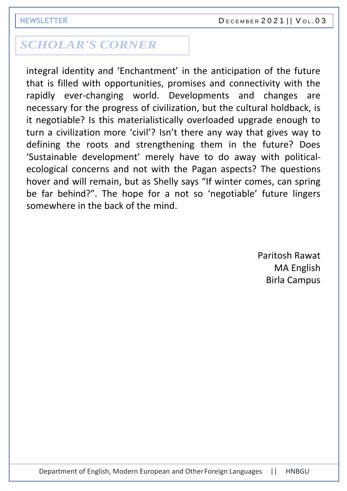integral identity and 'Enchantment' in the anticipation of the future that is filled with opportunities, promises and connectivity with the rapidly ever-changing world. Developments and changes are necessary for the progress of civilization, but the cultural holdback, is it negotiable? Is this materialistically overloaded upgrade enough to turn a civilization more 'civil'? Isn't there any way that gives way to defining the roots and strengthening them in the future? Does 'Sustainable development' merely have to do away with politicalecological concerns and not with the Pagan aspects? The questions hover and will remain, but as Shelly says "If winter comes, can spring be far behind?". The hope for a not so 'negotiable' future lingers somewhere in the back of the mind.

> Paritosh Rawat MA English Birla Campus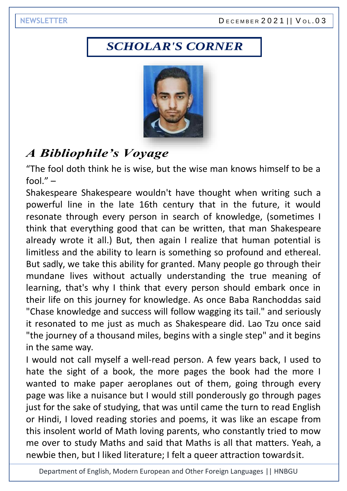

## *A Bibliophile's Voyage*

"The fool doth think he is wise, but the wise man knows himself to be a fool." $-$ 

Shakespeare Shakespeare wouldn't have thought when writing such a powerful line in the late 16th century that in the future, it would resonate through every person in search of knowledge, (sometimes I think that everything good that can be written, that man Shakespeare already wrote it all.) But, then again I realize that human potential is limitless and the ability to learn is something so profound and ethereal. But sadly, we take this ability for granted. Many people go through their mundane lives without actually understanding the true meaning of learning, that's why I think that every person should embark once in their life on this journey for knowledge. As once Baba Ranchoddas said "Chase knowledge and success will follow wagging its tail." and seriously it resonated to me just as much as Shakespeare did. Lao Tzu once said "the journey of a thousand miles, begins with a single step" and it begins in the same way.

I would not call myself a well-read person. A few years back, I used to hate the sight of a book, the more pages the book had the more I wanted to make paper aeroplanes out of them, going through every page was like a nuisance but I would still ponderously go through pages just for the sake of studying, that was until came the turn to read English or Hindi, I loved reading stories and poems, it was like an escape from this insolent world of Math loving parents, who constantly tried to mow me over to study Maths and said that Maths is all that matters. Yeah, a newbie then, but I liked literature; I felt a queer attraction towardsit.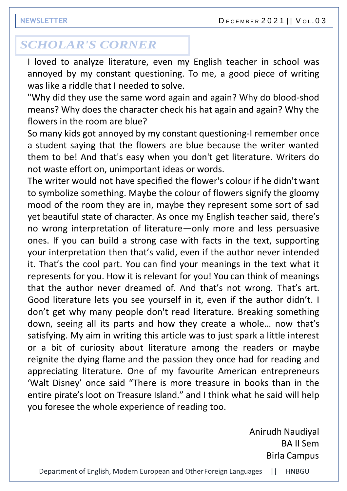I loved to analyze literature, even my English teacher in school was annoyed by my constant questioning. To me, a good piece of writing was like a riddle that I needed to solve.

"Why did they use the same word again and again? Why do blood-shod means? Why does the character check his hat again and again? Why the flowers in the room are blue?

So many kids got annoyed by my constant questioning-I remember once a student saying that the flowers are blue because the writer wanted them to be! And that's easy when you don't get literature. Writers do not waste effort on, unimportant ideas or words.

The writer would not have specified the flower's colour if he didn't want to symbolize something. Maybe the colour of flowers signify the gloomy mood of the room they are in, maybe they represent some sort of sad yet beautiful state of character. As once my English teacher said, there's no wrong interpretation of literature—only more and less persuasive ones. If you can build a strong case with facts in the text, supporting your interpretation then that's valid, even if the author never intended it. That's the cool part. You can find your meanings in the text what it represents for you. How it is relevant for you! You can think of meanings that the author never dreamed of. And that's not wrong. That's art. Good literature lets you see yourself in it, even if the author didn't. I don't get why many people don't read literature. Breaking something down, seeing all its parts and how they create a whole… now that's satisfying. My aim in writing this article was to just spark a little interest or a bit of curiosity about literature among the readers or maybe reignite the dying flame and the passion they once had for reading and appreciating literature. One of my favourite American entrepreneurs 'Walt Disney' once said "There is more treasure in books than in the entire pirate's loot on Treasure Island." and I think what he said will help you foresee the whole experience of reading too.

> Anirudh Naudiyal BA II Sem Birla Campus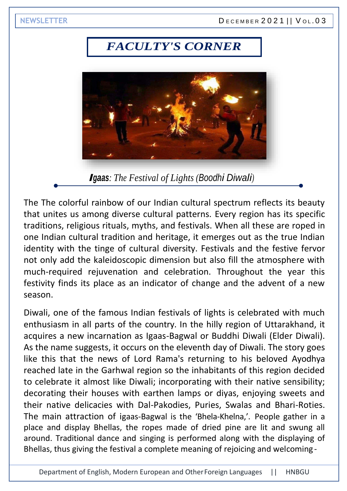## *FACULTY'S CORNER*



*Igaas: The Festival of Lights (Boodhi Diwali)*

The The colorful rainbow of our Indian cultural spectrum reflects its beauty that unites us among diverse cultural patterns. Every region has its specific traditions, religious rituals, myths, and festivals. When all these are roped in one Indian cultural tradition and heritage, it emerges out as the true Indian identity with the tinge of cultural diversity. Festivals and the festive fervor not only add the kaleidoscopic dimension but also fill the atmosphere with much-required rejuvenation and celebration. Throughout the year this festivity finds its place as an indicator of change and the advent of a new season.

Diwali, one of the famous Indian festivals of lights is celebrated with much enthusiasm in all parts of the country. In the hilly region of Uttarakhand, it acquires a new incarnation as Igaas-Bagwal or Buddhi Diwali (Elder Diwali). As the name suggests, it occurs on the eleventh day of Diwali. The story goes like this that the news of Lord Rama's returning to his beloved Ayodhya reached late in the Garhwal region so the inhabitants of this region decided to celebrate it almost like Diwali; incorporating with their native sensibility; decorating their houses with earthen lamps or diyas, enjoying sweets and their native delicacies with Dal-Pakodies, Puries, Swalas and Bhari-Roties. The main attraction of igaas-Bagwal is the 'Bhela-Khelna,'. People gather in a place and display Bhellas, the ropes made of dried pine are lit and swung all around. Traditional dance and singing is performed along with the displaying of Bhellas, thus giving the festival a complete meaning of rejoicing and welcoming -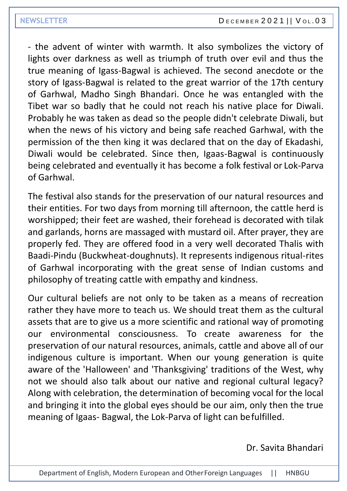- the advent of winter with warmth. It also symbolizes the victory of lights over darkness as well as triumph of truth over evil and thus the true meaning of Igass-Bagwal is achieved. The second anecdote or the story of Igass-Bagwal is related to the great warrior of the 17th century of Garhwal, Madho Singh Bhandari. Once he was entangled with the Tibet war so badly that he could not reach his native place for Diwali. Probably he was taken as dead so the people didn't celebrate Diwali, but when the news of his victory and being safe reached Garhwal, with the permission of the then king it was declared that on the day of Ekadashi, Diwali would be celebrated. Since then, Igaas-Bagwal is continuously being celebrated and eventually it has become a folk festival or Lok-Parva of Garhwal.

The festival also stands for the preservation of our natural resources and their entities. For two days from morning till afternoon, the cattle herd is worshipped; their feet are washed, their forehead is decorated with tilak and garlands, horns are massaged with mustard oil. After prayer, they are properly fed. They are offered food in a very well decorated Thalis with Baadi-Pindu (Buckwheat-doughnuts). It represents indigenous ritual-rites of Garhwal incorporating with the great sense of Indian customs and philosophy of treating cattle with empathy and kindness.

Our cultural beliefs are not only to be taken as a means of recreation rather they have more to teach us. We should treat them as the cultural assets that are to give us a more scientific and rational way of promoting our environmental consciousness. To create awareness for the preservation of our natural resources, animals, cattle and above all of our indigenous culture is important. When our young generation is quite aware of the 'Halloween' and 'Thanksgiving' traditions of the West, why not we should also talk about our native and regional cultural legacy? Along with celebration, the determination of becoming vocal for the local and bringing it into the global eyes should be our aim, only then the true meaning of Igaas- Bagwal, the Lok-Parva of light can befulfilled.

Dr. Savita Bhandari